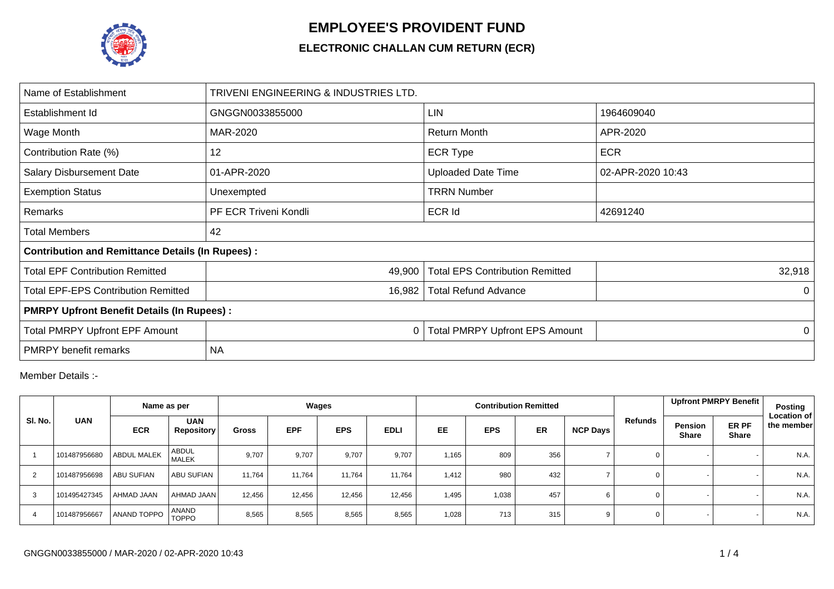

## **EMPLOYEE'S PROVIDENT FUND**

## **ELECTRONIC CHALLAN CUM RETURN (ECR)**

| Name of Establishment                                   | TRIVENI ENGINEERING & INDUSTRIES LTD. |                                        |                   |  |  |  |  |  |  |
|---------------------------------------------------------|---------------------------------------|----------------------------------------|-------------------|--|--|--|--|--|--|
| Establishment Id                                        | GNGGN0033855000                       | <b>LIN</b>                             | 1964609040        |  |  |  |  |  |  |
| Wage Month                                              | MAR-2020                              | <b>Return Month</b>                    | APR-2020          |  |  |  |  |  |  |
| Contribution Rate (%)                                   | 12                                    | <b>ECR Type</b>                        | <b>ECR</b>        |  |  |  |  |  |  |
| <b>Salary Disbursement Date</b>                         | 01-APR-2020                           | <b>Uploaded Date Time</b>              | 02-APR-2020 10:43 |  |  |  |  |  |  |
| <b>Exemption Status</b>                                 | Unexempted                            | <b>TRRN Number</b>                     |                   |  |  |  |  |  |  |
| Remarks                                                 | PF ECR Triveni Kondli                 | <b>ECR Id</b>                          | 42691240          |  |  |  |  |  |  |
| Total Members                                           | 42                                    |                                        |                   |  |  |  |  |  |  |
| <b>Contribution and Remittance Details (In Rupees):</b> |                                       |                                        |                   |  |  |  |  |  |  |
| <b>Total EPF Contribution Remitted</b>                  | 49,900                                | <b>Total EPS Contribution Remitted</b> | 32,918            |  |  |  |  |  |  |
| <b>Total EPF-EPS Contribution Remitted</b>              | 16,982                                | <b>Total Refund Advance</b>            | 0                 |  |  |  |  |  |  |
| <b>PMRPY Upfront Benefit Details (In Rupees):</b>       |                                       |                                        |                   |  |  |  |  |  |  |
| <b>Total PMRPY Upfront EPF Amount</b>                   | 0                                     | <b>Total PMRPY Upfront EPS Amount</b>  | $\Omega$          |  |  |  |  |  |  |
| <b>PMRPY</b> benefit remarks                            | <b>NA</b>                             |                                        |                   |  |  |  |  |  |  |

Member Details :-

|         |              | Name as per        |                                 | Wages        |            |            |             |           |            | <b>Contribution Remitted</b> |          |             | Upfront PMRPY Benefit                                   | Posting                          |
|---------|--------------|--------------------|---------------------------------|--------------|------------|------------|-------------|-----------|------------|------------------------------|----------|-------------|---------------------------------------------------------|----------------------------------|
| SI. No. | <b>UAN</b>   | <b>ECR</b>         | <b>UAN</b><br><b>Repository</b> | <b>Gross</b> | <b>EPF</b> | <b>EPS</b> | <b>EDLI</b> | <b>EE</b> | <b>EPS</b> | <b>ER</b>                    | NCP Days | Refunds     | ER PF<br><b>Pension</b><br><b>Share</b><br><b>Share</b> | <b>Location of</b><br>the member |
|         | 101487956680 | <b>ABDUL MALEK</b> | <b>ABDUL</b><br><b>MALEK</b>    | 9,707        | 9,707      | 9,707      | 9,707       | 1,165     | 809        | 356                          |          | 0           |                                                         | N.A.                             |
|         | 101487956698 | <b>ABU SUFIAN</b>  | <b>ABU SUFIAN</b>               | 11.764       | 11,764     | 11,764     | 11.764      | 1,412     | 980        | 432                          |          | $\mathbf 0$ |                                                         | N.A.                             |
| 3       | 101495427345 | AHMAD JAAN         | AHMAD JAAN                      | 12,456       | 12,456     | 12,456     | 12,456      | 1,495     | 1,038      | 457                          |          | 0           |                                                         | N.A.                             |
|         | 101487956667 | <b>ANAND TOPPO</b> | <b>ANAND</b><br><b>TOPPO</b>    | 8,565        | 8,565      | 8,565      | 8,565       | 1,028     | 713        | 315                          | 9        | $\mathbf 0$ |                                                         | N.A.                             |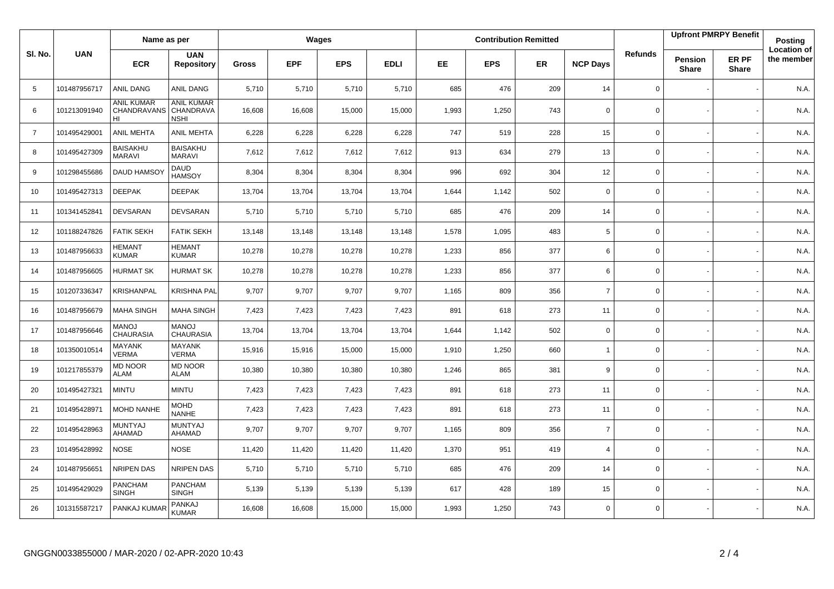|                |              | Name as per                                   |                                                      | Wages        |            |            |             |       |            | <b>Contribution Remitted</b> |                 |                | <b>Upfront PMRPY Benefit</b>   |                       | Posting                          |
|----------------|--------------|-----------------------------------------------|------------------------------------------------------|--------------|------------|------------|-------------|-------|------------|------------------------------|-----------------|----------------|--------------------------------|-----------------------|----------------------------------|
| SI. No.        | <b>UAN</b>   | <b>ECR</b>                                    | <b>UAN</b><br><b>Repository</b>                      | <b>Gross</b> | <b>EPF</b> | <b>EPS</b> | <b>EDLI</b> | EE    | <b>EPS</b> | ER                           | <b>NCP Days</b> | <b>Refunds</b> | <b>Pension</b><br><b>Share</b> | ER PF<br><b>Share</b> | <b>Location of</b><br>the member |
| 5              | 101487956717 | ANIL DANG                                     | ANIL DANG                                            | 5,710        | 5,710      | 5,710      | 5,710       | 685   | 476        | 209                          | 14              | 0              |                                |                       | N.A.                             |
| 6              | 101213091940 | <b>ANIL KUMAR</b><br><b>CHANDRAVANS</b><br>HI | <b>ANIL KUMAR</b><br><b>CHANDRAVA</b><br><b>NSHI</b> | 16,608       | 16,608     | 15,000     | 15,000      | 1,993 | 1,250      | 743                          | $\mathbf 0$     | 0              |                                |                       | N.A.                             |
| $\overline{7}$ | 101495429001 | <b>ANIL MEHTA</b>                             | <b>ANIL MEHTA</b>                                    | 6,228        | 6,228      | 6,228      | 6,228       | 747   | 519        | 228                          | 15              | 0              |                                |                       | N.A.                             |
| 8              | 101495427309 | <b>BAISAKHU</b><br><b>MARAVI</b>              | <b>BAISAKHU</b><br><b>MARAVI</b>                     | 7,612        | 7,612      | 7,612      | 7,612       | 913   | 634        | 279                          | 13              | 0              |                                |                       | N.A.                             |
| 9              | 101298455686 | DAUD HAMSO                                    | <b>DAUD</b><br><b>HAMSOY</b>                         | 8,304        | 8,304      | 8,304      | 8,304       | 996   | 692        | 304                          | 12              | $\mathbf 0$    |                                |                       | N.A.                             |
| 10             | 101495427313 | <b>DEEPAK</b>                                 | <b>DEEPAK</b>                                        | 13,704       | 13,704     | 13,704     | 13,704      | 1,644 | 1,142      | 502                          | $\mathbf 0$     | $\mathbf 0$    |                                |                       | N.A.                             |
| 11             | 101341452841 | <b>DEVSARAN</b>                               | <b>DEVSARAN</b>                                      | 5,710        | 5,710      | 5,710      | 5,710       | 685   | 476        | 209                          | 14              | 0              |                                |                       | N.A.                             |
| 12             | 101188247826 | <b>FATIK SEKH</b>                             | <b>FATIK SEKH</b>                                    | 13,148       | 13,148     | 13,148     | 13,148      | 1,578 | 1,095      | 483                          | 5               | 0              |                                |                       | N.A.                             |
| 13             | 101487956633 | <b>HEMANT</b><br><b>KUMAR</b>                 | <b>HEMANT</b><br><b>KUMAR</b>                        | 10,278       | 10,278     | 10,278     | 10,278      | 1,233 | 856        | 377                          | 6               | 0              |                                |                       | N.A.                             |
| 14             | 101487956605 | <b>HURMAT SK</b>                              | <b>HURMAT SK</b>                                     | 10,278       | 10,278     | 10,278     | 10,278      | 1,233 | 856        | 377                          | 6               | $\mathbf 0$    |                                |                       | N.A.                             |
| 15             | 101207336347 | <b>KRISHANPAL</b>                             | <b>KRISHNA PAL</b>                                   | 9,707        | 9,707      | 9,707      | 9,707       | 1,165 | 809        | 356                          | $\overline{7}$  | 0              |                                |                       | N.A.                             |
| 16             | 101487956679 | <b>MAHA SINGH</b>                             | <b>MAHA SINGH</b>                                    | 7,423        | 7,423      | 7,423      | 7,423       | 891   | 618        | 273                          | 11              | 0              |                                |                       | N.A.                             |
| 17             | 101487956646 | <b>MANOJ</b><br><b>CHAURASIA</b>              | <b>MANOJ</b><br><b>CHAURASIA</b>                     | 13,704       | 13,704     | 13,704     | 13,704      | 1,644 | 1,142      | 502                          | $\mathbf 0$     | 0              |                                |                       | N.A.                             |
| 18             | 101350010514 | <b>MAYANK</b><br><b>VERMA</b>                 | <b>MAYANK</b><br><b>VERMA</b>                        | 15,916       | 15,916     | 15,000     | 15,000      | 1,910 | 1,250      | 660                          | $\overline{1}$  | 0              |                                |                       | N.A.                             |
| 19             | 101217855379 | <b>MD NOOR</b><br><b>ALAM</b>                 | <b>MD NOOR</b><br><b>ALAM</b>                        | 10,380       | 10,380     | 10,380     | 10,380      | 1,246 | 865        | 381                          | 9               | $\mathbf 0$    |                                |                       | N.A.                             |
| 20             | 101495427321 | <b>MINTU</b>                                  | <b>MINTU</b>                                         | 7,423        | 7,423      | 7,423      | 7,423       | 891   | 618        | 273                          | 11              | $\mathbf 0$    |                                |                       | N.A.                             |
| 21             | 101495428971 | MOHD NANHE                                    | <b>MOHD</b><br><b>NANHE</b>                          | 7,423        | 7,423      | 7,423      | 7,423       | 891   | 618        | 273                          | 11              | $\mathbf 0$    |                                |                       | N.A.                             |
| 22             | 101495428963 | <b>MUNTYAJ</b><br>AHAMAD                      | <b>MUNTYAJ</b><br>AHAMAD                             | 9,707        | 9,707      | 9,707      | 9,707       | 1,165 | 809        | 356                          | $\overline{7}$  | 0              |                                |                       | N.A.                             |
| 23             | 101495428992 | <b>NOSE</b>                                   | <b>NOSE</b>                                          | 11,420       | 11,420     | 11,420     | 11,420      | 1,370 | 951        | 419                          | $\overline{4}$  | $\mathbf 0$    |                                |                       | N.A.                             |
| 24             | 101487956651 | NRIPEN DAS                                    | NRIPEN DAS                                           | 5,710        | 5,710      | 5,710      | 5,710       | 685   | 476        | 209                          | 14              | 0              |                                |                       | N.A.                             |
| 25             | 101495429029 | PANCHAM<br><b>SINGH</b>                       | <b>PANCHAM</b><br><b>SINGH</b>                       | 5,139        | 5,139      | 5,139      | 5,139       | 617   | 428        | 189                          | 15              | 0              |                                |                       | N.A.                             |
| 26             | 101315587217 | PANKAJ KUMAR                                  | PANKAJ<br><b>KUMAR</b>                               | 16,608       | 16,608     | 15,000     | 15,000      | 1,993 | 1,250      | 743                          | $\Omega$        | 0              |                                |                       | N.A.                             |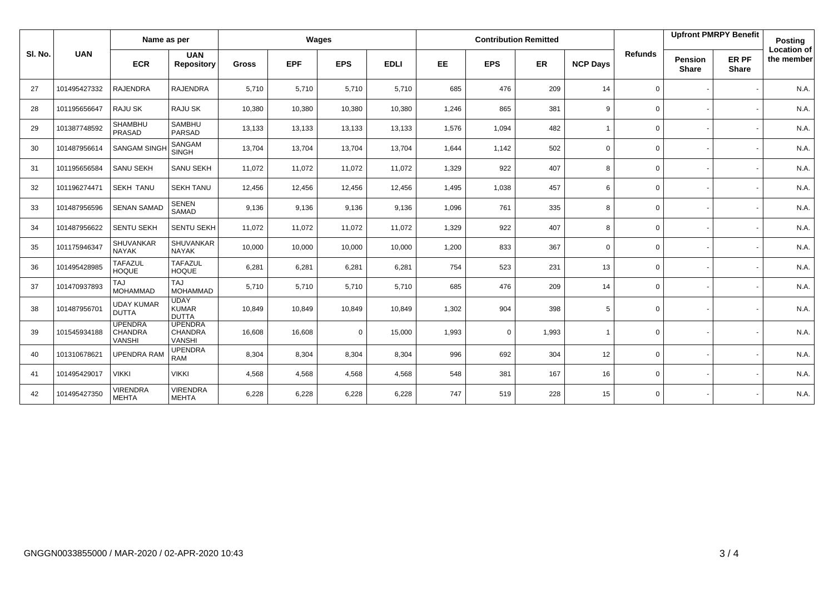|         |              | Name as per                                |                                                   | Wages        |            |             |             |       |             | <b>Contribution Remitted</b> |                 |                | <b>Upfront PMRPY Benefit</b>   |                       | <b>Posting</b>            |
|---------|--------------|--------------------------------------------|---------------------------------------------------|--------------|------------|-------------|-------------|-------|-------------|------------------------------|-----------------|----------------|--------------------------------|-----------------------|---------------------------|
| SI. No. | <b>UAN</b>   | <b>ECR</b>                                 | <b>UAN</b><br><b>Repository</b>                   | <b>Gross</b> | <b>EPF</b> | <b>EPS</b>  | <b>EDLI</b> | EE    | <b>EPS</b>  | <b>ER</b>                    | <b>NCP Days</b> | <b>Refunds</b> | <b>Pension</b><br><b>Share</b> | ER PF<br><b>Share</b> | Location of<br>the member |
| 27      | 101495427332 | <b>RAJENDRA</b>                            | <b>RAJENDRA</b>                                   | 5,710        | 5,710      | 5,710       | 5,710       | 685   | 476         | 209                          | 14              | $\mathbf 0$    |                                |                       | N.A.                      |
| 28      | 101195656647 | <b>RAJU SK</b>                             | RAJU SK                                           | 10,380       | 10,380     | 10,380      | 10,380      | 1,246 | 865         | 381                          | 9               | 0              |                                |                       | N.A.                      |
| 29      | 101387748592 | SHAMBHU<br>PRASAD                          | <b>SAMBHU</b><br>PARSAD                           | 13,133       | 13,133     | 13,133      | 13,133      | 1,576 | 1,094       | 482                          | $\overline{1}$  | 0              |                                |                       | N.A.                      |
| 30      | 101487956614 | <b>SANGAM SINGH</b>                        | SANGAM<br><b>SINGH</b>                            | 13,704       | 13,704     | 13,704      | 13,704      | 1,644 | 1,142       | 502                          | $\mathbf 0$     | 0              |                                |                       | N.A.                      |
| 31      | 101195656584 | <b>SANU SEKH</b>                           | SANU SEKH                                         | 11,072       | 11,072     | 11,072      | 11,072      | 1,329 | 922         | 407                          | 8               | 0              |                                |                       | N.A.                      |
| 32      | 101196274471 | <b>SEKH TANU</b>                           | <b>SEKH TANU</b>                                  | 12,456       | 12,456     | 12,456      | 12,456      | 1,495 | 1,038       | 457                          | 6               | $\mathbf 0$    |                                |                       | N.A.                      |
| 33      | 101487956596 | <b>SENAN SAMAD</b>                         | <b>SENEN</b><br>SAMAD                             | 9,136        | 9,136      | 9,136       | 9,136       | 1,096 | 761         | 335                          | 8               | $\mathbf 0$    |                                |                       | N.A.                      |
| 34      | 101487956622 | <b>SENTU SEKH</b>                          | SENTU SEKH                                        | 11,072       | 11,072     | 11,072      | 11,072      | 1,329 | 922         | 407                          | 8               | 0              |                                |                       | N.A.                      |
| 35      | 101175946347 | <b>SHUVANKAR</b><br><b>NAYAK</b>           | SHUVANKAR<br><b>NAYAK</b>                         | 10,000       | 10,000     | 10,000      | 10,000      | 1,200 | 833         | 367                          | $\mathbf 0$     | $\mathbf 0$    |                                |                       | N.A.                      |
| 36      | 101495428985 | <b>TAFAZUL</b><br><b>HOQUE</b>             | <b>TAFAZUL</b><br><b>HOQUE</b>                    | 6,281        | 6,281      | 6,281       | 6,281       | 754   | 523         | 231                          | 13              | 0              |                                |                       | N.A.                      |
| 37      | 101470937893 | <b>TAJ</b><br><b>MOHAMMAD</b>              | <b>TAJ</b><br><b>MOHAMMAD</b>                     | 5,710        | 5,710      | 5,710       | 5,710       | 685   | 476         | 209                          | 14              | 0              |                                |                       | N.A.                      |
| 38      | 101487956701 | <b>UDAY KUMAR</b><br><b>DUTTA</b>          | <b>UDAY</b><br><b>KUMAR</b><br><b>DUTTA</b>       | 10,849       | 10,849     | 10,849      | 10,849      | 1,302 | 904         | 398                          | 5               | 0              |                                |                       | N.A.                      |
| 39      | 101545934188 | <b>UPENDRA</b><br><b>CHANDRA</b><br>VANSHI | <b>UPENDRA</b><br><b>CHANDRA</b><br><b>VANSHI</b> | 16,608       | 16,608     | $\mathbf 0$ | 15,000      | 1,993 | $\mathbf 0$ | 1,993                        | $\overline{1}$  | $\mathbf 0$    |                                |                       | N.A.                      |
| 40      | 101310678621 | <b>UPENDRA RAM</b>                         | <b>UPENDRA</b><br><b>RAM</b>                      | 8,304        | 8,304      | 8,304       | 8,304       | 996   | 692         | 304                          | 12              | 0              |                                |                       | N.A.                      |
| 41      | 101495429017 | <b>VIKKI</b>                               | <b>VIKKI</b>                                      | 4,568        | 4,568      | 4,568       | 4,568       | 548   | 381         | 167                          | 16              | $\mathbf 0$    |                                |                       | N.A.                      |
| 42      | 101495427350 | <b>VIRENDRA</b><br><b>MEHTA</b>            | <b>VIRENDRA</b><br><b>MEHTA</b>                   | 6,228        | 6,228      | 6,228       | 6,228       | 747   | 519         | 228                          | 15              | 0              |                                |                       | <b>N.A.</b>               |